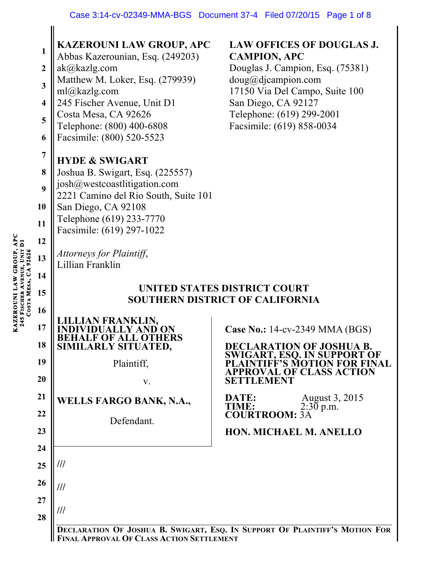|  | 1                       | KAZEROUNI LAW GROUP, APC<br>Abbas Kazerounian, Esq. (249203)           | <b>LAW OFFICES OF DOUGLAS J.</b><br><b>CAMPION, APC</b>                     |  |
|--|-------------------------|------------------------------------------------------------------------|-----------------------------------------------------------------------------|--|
|  | $\boldsymbol{2}$        | ak@kazlg.com                                                           | Douglas J. Campion, Esq. (75381)                                            |  |
|  | 3                       | Matthew M. Loker, Esq. (279939)                                        | doug@djaampion.com                                                          |  |
|  | $\overline{\mathbf{4}}$ | ml@kazlg.com<br>245 Fischer Avenue, Unit D1                            | 17150 Via Del Campo, Suite 100<br>San Diego, CA 92127                       |  |
|  | 5                       | Costa Mesa, CA 92626                                                   | Telephone: (619) 299-2001                                                   |  |
|  | 6                       | Telephone: (800) 400-6808<br>Facsimile: (800) 520-5523                 | Facsimile: (619) 858-0034                                                   |  |
|  | $\overline{7}$          |                                                                        |                                                                             |  |
|  | 8                       | <b>HYDE &amp; SWIGART</b>                                              |                                                                             |  |
|  |                         | Joshua B. Swigart, Esq. (225557)<br>josh@westcoastlitigation.com       |                                                                             |  |
|  | 9                       | 2221 Camino del Rio South, Suite 101                                   |                                                                             |  |
|  | 10                      | San Diego, CA 92108<br>Telephone (619) 233-7770                        |                                                                             |  |
|  | 11                      | Facsimile: (619) 297-1022                                              |                                                                             |  |
|  | 12                      |                                                                        |                                                                             |  |
|  | 13                      | Attorneys for Plaintiff,<br>Lillian Franklin                           |                                                                             |  |
|  | 14                      |                                                                        |                                                                             |  |
|  | 15                      | UNITED STATES DISTRICT COURT<br><b>SOUTHERN DISTRICT OF CALIFORNIA</b> |                                                                             |  |
|  | 16                      |                                                                        |                                                                             |  |
|  | 17                      | N FRANKLIN,                                                            | Case No.: 14-cv-2349 MMA (BGS)                                              |  |
|  | 18                      | <b>OF ALL OTHERS</b><br>SIMILARLY SITUATED,                            | <b>DECLARATION OF JOSHUA B.</b>                                             |  |
|  |                         |                                                                        |                                                                             |  |
|  | 19                      |                                                                        | <b>SWIGART, ESQ. IN SUPPORT OF</b><br>TIFF'S MOTION FOR FINAL               |  |
|  | 20                      | Plaintiff,<br>V.                                                       | VAL OF CLASS ACTION<br>SETTLEMENT                                           |  |
|  | 21                      |                                                                        |                                                                             |  |
|  | 22                      | <b>WELLS FARGO BANK, N.A.,</b>                                         | August 3, 2015<br>DATE:<br><b>TIME:</b><br>$2:30$ p.m.                      |  |
|  |                         | Defendant.                                                             | <b>COURTROOM: 3A</b>                                                        |  |
|  | 23                      |                                                                        | <b>HON. MICHAEL M. ANELLO</b>                                               |  |
|  | 24                      |                                                                        |                                                                             |  |
|  | 25                      | ///                                                                    |                                                                             |  |
|  | 26                      | ///                                                                    |                                                                             |  |
|  | 27                      | ///                                                                    |                                                                             |  |
|  | 28                      |                                                                        | DECLARATION OF JOSHUA B. SWIGART, ESQ. IN SUPPORT OF PLAINTIFF'S MOTION FOR |  |

**KAZEROUNI LAW GROUP, APC 245 FISCHER AVENUE, UNIT D1 COSTA MESA, CA 92626**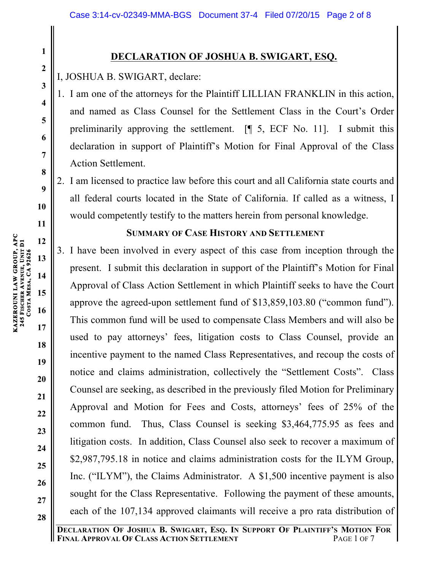# **DECLARATION OF JOSHUA B. SWIGART, ESQ.**

I, JOSHUA B. SWIGART, declare:

1. I am one of the attorneys for the Plaintiff LILLIAN FRANKLIN in this action, and named as Class Counsel for the Settlement Class in the Court's Order preliminarily approving the settlement. [¶ 5, ECF No. 11]. I submit this declaration in support of Plaintiff's Motion for Final Approval of the Class Action Settlement.

2. I am licensed to practice law before this court and all California state courts and all federal courts located in the State of California. If called as a witness, I would competently testify to the matters herein from personal knowledge.

## **SUMMARY OF CASE HISTORY AND SETTLEMENT**

3. I have been involved in every aspect of this case from inception through the present. I submit this declaration in support of the Plaintiff's Motion for Final Approval of Class Action Settlement in which Plaintiff seeks to have the Court approve the agreed-upon settlement fund of \$13,859,103.80 ("common fund"). This common fund will be used to compensate Class Members and will also be used to pay attorneys' fees, litigation costs to Class Counsel, provide an incentive payment to the named Class Representatives, and recoup the costs of notice and claims administration, collectively the "Settlement Costs". Class Counsel are seeking, as described in the previously filed Motion for Preliminary Approval and Motion for Fees and Costs, attorneys' fees of 25% of the common fund. Thus, Class Counsel is seeking \$3,464,775.95 as fees and litigation costs. In addition, Class Counsel also seek to recover a maximum of \$2,987,795.18 in notice and claims administration costs for the ILYM Group, Inc. ("ILYM"), the Claims Administrator. A \$1,500 incentive payment is also sought for the Class Representative. Following the payment of these amounts, each of the 107,134 approved claimants will receive a pro rata distribution of

**1**

**2**

**3**

**4**

**5**

**6**

**7**

**8**

**9**

**10**

**11**

**12**

**13**

**14**

**15**

**16**

**17**

**18**

**19**

**20**

**21**

**22**

**23**

**24**

**25**

**26**

**27**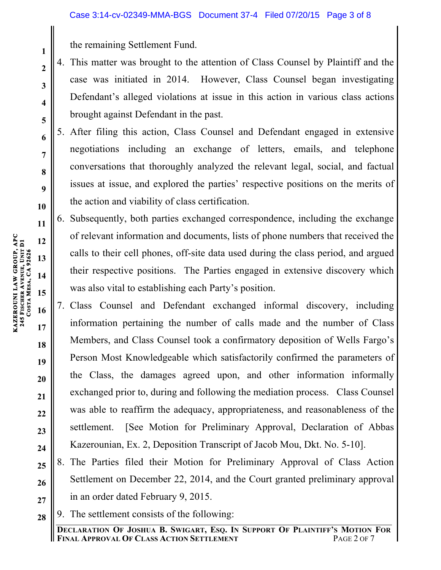the remaining Settlement Fund.

- 4. This matter was brought to the attention of Class Counsel by Plaintiff and the case was initiated in 2014. However, Class Counsel began investigating Defendant's alleged violations at issue in this action in various class actions brought against Defendant in the past.
- 5. After filing this action, Class Counsel and Defendant engaged in extensive negotiations including an exchange of letters, emails, and telephone conversations that thoroughly analyzed the relevant legal, social, and factual issues at issue, and explored the parties' respective positions on the merits of the action and viability of class certification.
- 6. Subsequently, both parties exchanged correspondence, including the exchange of relevant information and documents, lists of phone numbers that received the calls to their cell phones, off-site data used during the class period, and argued their respective positions. The Parties engaged in extensive discovery which was also vital to establishing each Party's position.
- 7. Class Counsel and Defendant exchanged informal discovery, including information pertaining the number of calls made and the number of Class Members, and Class Counsel took a confirmatory deposition of Wells Fargo's Person Most Knowledgeable which satisfactorily confirmed the parameters of the Class, the damages agreed upon, and other information informally exchanged prior to, during and following the mediation process. Class Counsel was able to reaffirm the adequacy, appropriateness, and reasonableness of the settlement. [See Motion for Preliminary Approval, Declaration of Abbas Kazerounian, Ex. 2, Deposition Transcript of Jacob Mou, Dkt. No. 5-10].
- **25 26 27** 8. The Parties filed their Motion for Preliminary Approval of Class Action Settlement on December 22, 2014, and the Court granted preliminary approval in an order dated February 9, 2015.
- **28** 9. The settlement consists of the following:

**1**

**2**

**3**

**4**

**5**

**6**

**7**

**8**

**9**

**10**

**11**

**12**

**13**

**14**

**15**

**16**

**17**

**18**

**19**

**20**

**21**

**22**

**23**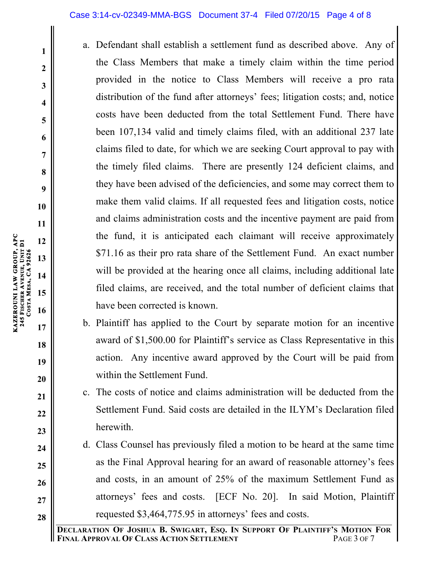### Case 3:14-cv-02349-MMA-BGS Document 37-4 Filed 07/20/15 Page 4 of 8

- a. Defendant shall establish a settlement fund as described above. Any of the Class Members that make a timely claim within the time period provided in the notice to Class Members will receive a pro rata distribution of the fund after attorneys' fees; litigation costs; and, notice costs have been deducted from the total Settlement Fund. There have been 107,134 valid and timely claims filed, with an additional 237 late claims filed to date, for which we are seeking Court approval to pay with the timely filed claims. There are presently 124 deficient claims, and they have been advised of the deficiencies, and some may correct them to make them valid claims. If all requested fees and litigation costs, notice and claims administration costs and the incentive payment are paid from the fund, it is anticipated each claimant will receive approximately \$71.16 as their pro rata share of the Settlement Fund. An exact number will be provided at the hearing once all claims, including additional late filed claims, are received, and the total number of deficient claims that have been corrected is known.
- b. Plaintiff has applied to the Court by separate motion for an incentive award of \$1,500.00 for Plaintiff's service as Class Representative in this action. Any incentive award approved by the Court will be paid from within the Settlement Fund.
- c. The costs of notice and claims administration will be deducted from the Settlement Fund. Said costs are detailed in the ILYM's Declaration filed herewith.
- d. Class Counsel has previously filed a motion to be heard at the same time as the Final Approval hearing for an award of reasonable attorney's fees and costs, in an amount of 25% of the maximum Settlement Fund as attorneys' fees and costs. [ECF No. 20]. In said Motion, Plaintiff requested \$3,464,775.95 in attorneys' fees and costs.

**KAZEROUNI LAW GROUP, APC** 

**245 FISCHER** 

**COSTA** 

**MESA, CA 92626** 

**AVENUE, UNIT D1**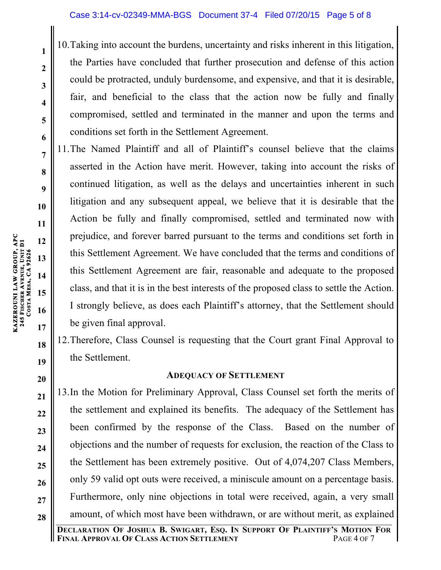10.Taking into account the burdens, uncertainty and risks inherent in this litigation, the Parties have concluded that further prosecution and defense of this action could be protracted, unduly burdensome, and expensive, and that it is desirable, fair, and beneficial to the class that the action now be fully and finally compromised, settled and terminated in the manner and upon the terms and conditions set forth in the Settlement Agreement.

11.The Named Plaintiff and all of Plaintiff's counsel believe that the claims asserted in the Action have merit. However, taking into account the risks of continued litigation, as well as the delays and uncertainties inherent in such litigation and any subsequent appeal, we believe that it is desirable that the Action be fully and finally compromised, settled and terminated now with prejudice, and forever barred pursuant to the terms and conditions set forth in this Settlement Agreement. We have concluded that the terms and conditions of this Settlement Agreement are fair, reasonable and adequate to the proposed class, and that it is in the best interests of the proposed class to settle the Action. I strongly believe, as does each Plaintiff's attorney, that the Settlement should be given final approval.

12.Therefore, Class Counsel is requesting that the Court grant Final Approval to the Settlement.

# **ADEQUACY OF SETTLEMENT**

13.In the Motion for Preliminary Approval, Class Counsel set forth the merits of the settlement and explained its benefits. The adequacy of the Settlement has been confirmed by the response of the Class. Based on the number of objections and the number of requests for exclusion, the reaction of the Class to the Settlement has been extremely positive. Out of 4,074,207 Class Members, only 59 valid opt outs were received, a miniscule amount on a percentage basis. Furthermore, only nine objections in total were received, again, a very small amount, of which most have been withdrawn, or are without merit, as explained

**1**

**2**

**3**

**4**

**5**

**6**

**7**

**8**

**9**

**10**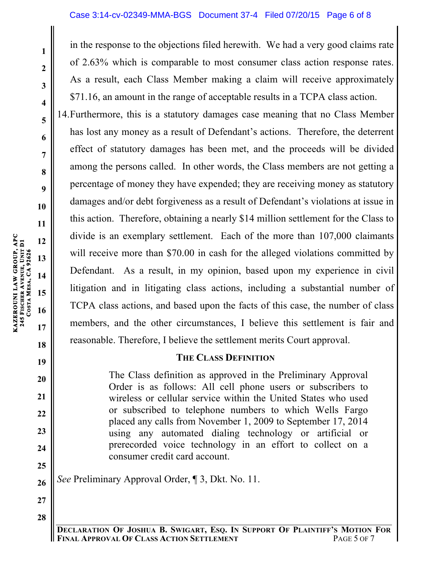### Case 3:14-cv-02349-MMA-BGS Document 37-4 Filed 07/20/15 Page 6 of 8

in the response to the objections filed herewith. We had a very good claims rate of 2.63% which is comparable to most consumer class action response rates. As a result, each Class Member making a claim will receive approximately \$71.16, an amount in the range of acceptable results in a TCPA class action.

14.Furthermore, this is a statutory damages case meaning that no Class Member has lost any money as a result of Defendant's actions. Therefore, the deterrent effect of statutory damages has been met, and the proceeds will be divided among the persons called. In other words, the Class members are not getting a percentage of money they have expended; they are receiving money as statutory damages and/or debt forgiveness as a result of Defendant's violations at issue in this action. Therefore, obtaining a nearly \$14 million settlement for the Class to divide is an exemplary settlement. Each of the more than 107,000 claimants will receive more than \$70.00 in cash for the alleged violations committed by Defendant. As a result, in my opinion, based upon my experience in civil litigation and in litigating class actions, including a substantial number of TCPA class actions, and based upon the facts of this case, the number of class members, and the other circumstances, I believe this settlement is fair and reasonable. Therefore, I believe the settlement merits Court approval.

### **THE CLASS DEFINITION**

The Class definition as approved in the Preliminary Approval Order is as follows: All cell phone users or subscribers to wireless or cellular service within the United States who used or subscribed to telephone numbers to which Wells Fargo placed any calls from November 1, 2009 to September 17, 2014 using any automated dialing technology or artificial or prerecorded voice technology in an effort to collect on a consumer credit card account.

*See* Preliminary Approval Order, ¶ 3, Dkt. No. 11.

**DECLARATION OF JOSHUA B. SWIGART, ESQ. IN SUPPORT OF PLAINTIFF'S MOTION FOR**  FINAL APPROVAL OF CLASS ACTION SETTLEMENT

**1**

**2**

**3**

**4**

**5**

**6**

**7**

**8**

**9**

**10**

**18**

**19**

**20**

**21**

**22**

**23**

**24**

**25**

**26**

**27**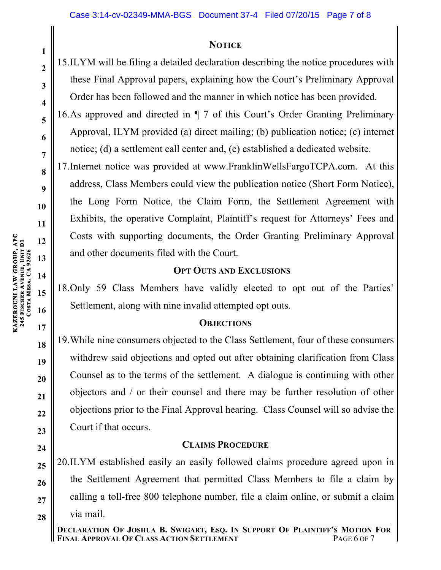### **NOTICE**

15.ILYM will be filing a detailed declaration describing the notice procedures with these Final Approval papers, explaining how the Court's Preliminary Approval Order has been followed and the manner in which notice has been provided.

16.As approved and directed in ¶ 7 of this Court's Order Granting Preliminary Approval, ILYM provided (a) direct mailing; (b) publication notice; (c) internet notice; (d) a settlement call center and, (c) established a dedicated website.

17.Internet notice was provided at www.FranklinWellsFargoTCPA.com. At this address, Class Members could view the publication notice (Short Form Notice), the Long Form Notice, the Claim Form, the Settlement Agreement with Exhibits, the operative Complaint, Plaintiff's request for Attorneys' Fees and Costs with supporting documents, the Order Granting Preliminary Approval and other documents filed with the Court.

## **OPT OUTS AND EXCLUSIONS**

18.Only 59 Class Members have validly elected to opt out of the Parties' Settlement, along with nine invalid attempted opt outs.

### **OBJECTIONS**

19.While nine consumers objected to the Class Settlement, four of these consumers withdrew said objections and opted out after obtaining clarification from Class Counsel as to the terms of the settlement. A dialogue is continuing with other objectors and / or their counsel and there may be further resolution of other objections prior to the Final Approval hearing. Class Counsel will so advise the Court if that occurs.

# **CLAIMS PROCEDURE**

**25 26 27 28** 20.ILYM established easily an easily followed claims procedure agreed upon in the Settlement Agreement that permitted Class Members to file a claim by calling a toll-free 800 telephone number, file a claim online, or submit a claim via mail.

**KAZEROUNI LAW GROUP, APC** 

**245 FISCHER**